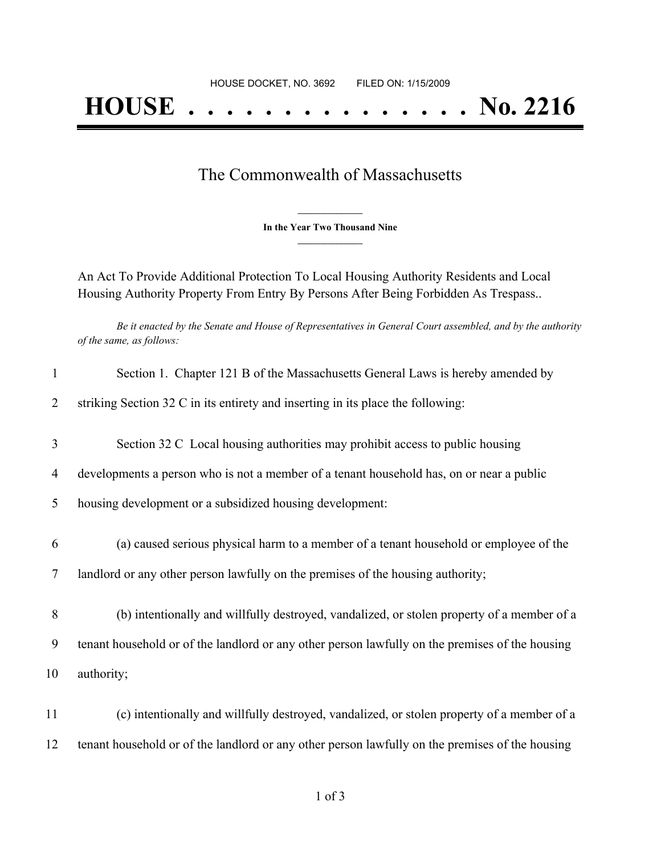## The Commonwealth of Massachusetts

**\_\_\_\_\_\_\_\_\_\_\_\_\_\_\_ In the Year Two Thousand Nine \_\_\_\_\_\_\_\_\_\_\_\_\_\_\_**

An Act To Provide Additional Protection To Local Housing Authority Residents and Local Housing Authority Property From Entry By Persons After Being Forbidden As Trespass..

Be it enacted by the Senate and House of Representatives in General Court assembled, and by the authority *of the same, as follows:*

| $\mathbf{1}$   | Section 1. Chapter 121 B of the Massachusetts General Laws is hereby amended by                 |
|----------------|-------------------------------------------------------------------------------------------------|
| $\overline{2}$ | striking Section 32 C in its entirety and inserting in its place the following:                 |
| 3              | Section 32 C Local housing authorities may prohibit access to public housing                    |
| 4              | developments a person who is not a member of a tenant household has, on or near a public        |
| 5              | housing development or a subsidized housing development:                                        |
| 6              | (a) caused serious physical harm to a member of a tenant household or employee of the           |
| 7              | landlord or any other person lawfully on the premises of the housing authority;                 |
| 8              | (b) intentionally and willfully destroyed, vandalized, or stolen property of a member of a      |
| 9              | tenant household or of the landlord or any other person lawfully on the premises of the housing |
| 10             | authority;                                                                                      |
| 11             | (c) intentionally and willfully destroyed, vandalized, or stolen property of a member of a      |
| 12             | tenant household or of the landlord or any other person lawfully on the premises of the housing |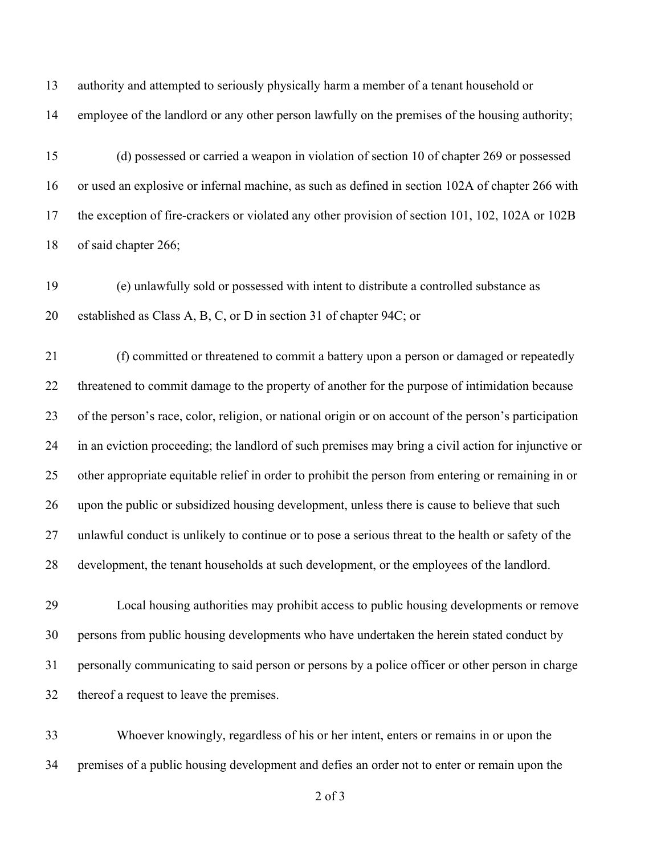authority and attempted to seriously physically harm a member of a tenant household or

employee of the landlord or any other person lawfully on the premises of the housing authority;

 (d) possessed or carried a weapon in violation of section 10 of chapter 269 or possessed or used an explosive or infernal machine, as such as defined in section 102A of chapter 266 with the exception of fire-crackers or violated any other provision of section 101, 102, 102A or 102B of said chapter 266;

 (e) unlawfully sold or possessed with intent to distribute a controlled substance as established as Class A, B, C, or D in section 31 of chapter 94C; or

 (f) committed or threatened to commit a battery upon a person or damaged or repeatedly threatened to commit damage to the property of another for the purpose of intimidation because of the person's race, color, religion, or national origin or on account of the person's participation in an eviction proceeding; the landlord of such premises may bring a civil action for injunctive or other appropriate equitable relief in order to prohibit the person from entering or remaining in or upon the public or subsidized housing development, unless there is cause to believe that such unlawful conduct is unlikely to continue or to pose a serious threat to the health or safety of the development, the tenant households at such development, or the employees of the landlord.

 Local housing authorities may prohibit access to public housing developments or remove persons from public housing developments who have undertaken the herein stated conduct by personally communicating to said person or persons by a police officer or other person in charge thereof a request to leave the premises.

 Whoever knowingly, regardless of his or her intent, enters or remains in or upon the premises of a public housing development and defies an order not to enter or remain upon the

of 3